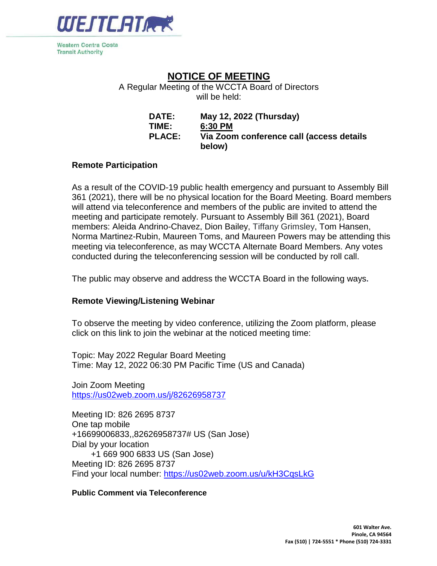

**Western Contra Costa Transit Authority** 

## **NOTICE OF MEETING**

A Regular Meeting of the WCCTA Board of Directors will be held:

| <b>DATE:</b>  | May 12, 2022 (Thursday)                            |
|---------------|----------------------------------------------------|
| TIME:         | 6:30 PM                                            |
| <b>PLACE:</b> | Via Zoom conference call (access details<br>below) |

## **Remote Participation**

 meeting and participate remotely. Pursuant to Assembly Bill 361 (2021), Board Norma Martinez-Rubin, Maureen Toms, and Maureen Powers may be attending this meeting via teleconference, as may WCCTA Alternate Board Members. Any votes As a result of the COVID-19 public health emergency and pursuant to Assembly Bill 361 (2021), there will be no physical location for the Board Meeting. Board members will attend via teleconference and members of the public are invited to attend the members: Aleida Andrino-Chavez, Dion Bailey, Tiffany Grimsley, Tom Hansen, conducted during the teleconferencing session will be conducted by roll call.

The public may observe and address the WCCTA Board in the following ways**.** 

## **Remote Viewing/Listening Webinar**

To observe the meeting by video conference, utilizing the Zoom platform, please click on this link to join the webinar at the noticed meeting time:

 Time: May 12, 2022 06:30 PM Pacific Time (US and Canada) Topic: May 2022 Regular Board Meeting

Join Zoom Meeting <https://us02web.zoom.us/j/82626958737>

 Meeting ID: 826 2695 8737 Meeting ID: 826 2695 8737 One tap mobile +16699006833,,82626958737# US (San Jose) Dial by your location +1 669 900 6833 US (San Jose) Find your local number:<https://us02web.zoom.us/u/kH3CqsLkG>

## **Public Comment via Teleconference**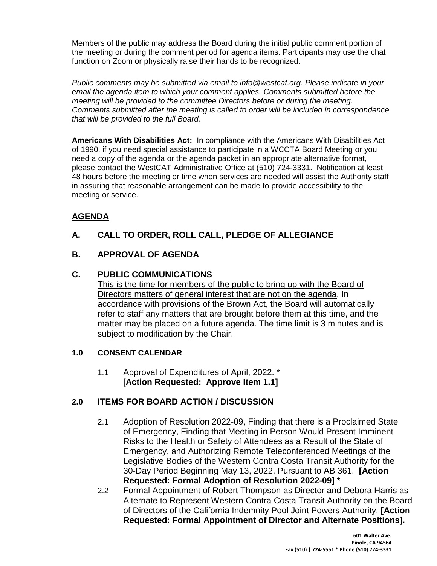the meeting or during the comment period for agenda items. Participants may use the chat Members of the public may address the Board during the initial public comment portion of function on Zoom or physically raise their hands to be recognized.

*Public comments may be submitted via email to info@westcat.org. Please indicate in your email the agenda item to which your comment applies. Comments submitted before the meeting will be provided to the committee Directors before or during the meeting. Comments submitted after the meeting is called to order will be included in correspondence that will be provided to the full Board.* 

 **Americans With Disabilities Act:** In compliance with the Americans With Disabilities Act of 1990, if you need special assistance to participate in a WCCTA Board Meeting or you need a copy of the agenda or the agenda packet in an appropriate alternative format, please contact the WestCAT Administrative Office at (510) 724-3331. Notification at least 48 hours before the meeting or time when services are needed will assist the Authority staff in assuring that reasonable arrangement can be made to provide accessibility to the meeting or service.

## **AGENDA**

**A. CALL TO ORDER, ROLL CALL, PLEDGE OF ALLEGIANCE B. APPROVAL OF AGENDA** 

## **C. PUBLIC COMMUNICATIONS**

 This is the time for members of the public to bring up with the Board of Directors matters of general interest that are not on the agenda. In refer to staff any matters that are brought before them at this time, and the matter may be placed on a future agenda. The time limit is 3 minutes and is accordance with provisions of the Brown Act, the Board will automatically subject to modification by the Chair.

## **1.0 CONSENT CALENDAR**

 1.1 Approval of Expenditures of April, 2022. \*  [**Action Requested: Approve Item 1.1]**

## **2.0 ITEMS FOR BOARD ACTION / DISCUSSION**

- 2.1 Adoption of Resolution 2022-09, Finding that there is a Proclaimed State 30-Day Period Beginning May 13, 2022, Pursuant to AB 361. **[Action**  of Emergency, Finding that Meeting in Person Would Present Imminent Risks to the Health or Safety of Attendees as a Result of the State of Emergency, and Authorizing Remote Teleconferenced Meetings of the Legislative Bodies of the Western Contra Costa Transit Authority for the **Requested: Formal Adoption of Resolution 2022-09] \***
- 2.2 Formal Appointment of Robert Thompson as Director and Debora Harris as Alternate to Represent Western Contra Costa Transit Authority on the Board of Directors of the California Indemnity Pool Joint Powers Authority. **[Action Requested: Formal Appointment of Director and Alternate Positions].**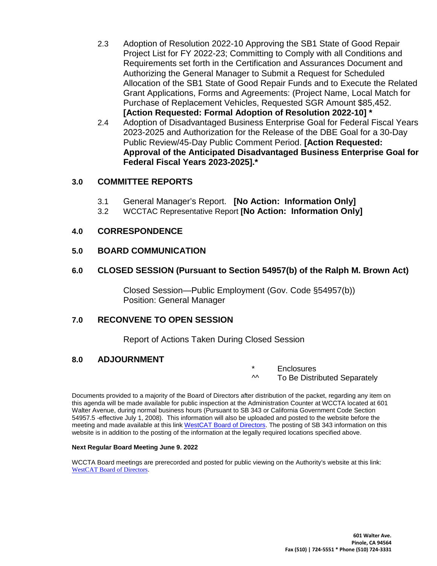- Project List for FY 2022-23; Committing to Comply with all Conditions and Purchase of Replacement Vehicles, Requested SGR Amount \$85,452. 2.3 Adoption of Resolution 2022-10 Approving the SB1 State of Good Repair Requirements set forth in the Certification and Assurances Document and Authorizing the General Manager to Submit a Request for Scheduled Allocation of the SB1 State of Good Repair Funds and to Execute the Related Grant Applications, Forms and Agreements: (Project Name, Local Match for **[Action Requested: Formal Adoption of Resolution 2022-10] \***
- 2.4 Adoption of Disadvantaged Business Enterprise Goal for Federal Fiscal Years 2023-2025 and Authorization for the Release of the DBE Goal for a 30-Day Public Review/45-Day Public Comment Period. **[Action Requested: Approval of the Anticipated Disadvantaged Business Enterprise Goal for Federal Fiscal Years 2023-2025].\***

## **3.0 COMMITTEE REPORTS**

- 3.1 General Manager's Report. **[No Action: Information Only]**
- 3.2 WCCTAC Representative Report **[No Action: Information Only]**

## **4.0 CORRESPONDENCE**

## **5.0 BOARD COMMUNICATION**

## **6.0 CLOSED SESSION (Pursuant to Section 54957(b) of the Ralph M. Brown Act)**

Closed Session—Public Employment (Gov. Code §54957(b)) Position: General Manager

## **7.0 RECONVENE TO OPEN SESSION**

Report of Actions Taken During Closed Session

## **8.0 ADJOURNMENT**

\* Enclosures

 $\sim$  To Be Distributed Separately

 this agenda will be made available for public inspection at the Administration Counter at WCCTA located at 601 Documents provided to a majority of the Board of Directors after distribution of the packet, regarding any item on Walter Avenue, during normal business hours (Pursuant to SB 343 or California Government Code Section 54957.5 -effective July 1, 2008). This information will also be uploaded and posted to the website before the meeting and made available at this lin[k WestCAT Board of Directors.](https://www.westcat.org/Home/InsBoard) The posting of SB 343 information on this website is in addition to the posting of the information at the legally required locations specified above.

#### **Next Regular Board Meeting June 9. 2022**

WCCTA Board meetings are prerecorded and posted for public viewing on the Authority's website at this link: [WestCAT Board of Directors](https://www.westcat.org/Home/InsBoard).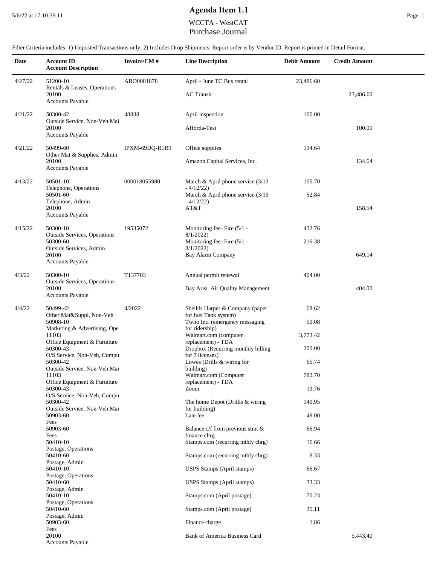# **Agenda Item 1.1** 5/6/22 at 17:10:39.11 Page: 1

### WCCTA - WestCAT Purchase Journal

| Date    | <b>Account ID</b><br><b>Account Description</b>                             | Invoice/CM#    | <b>Line Description</b>                                  | <b>Debit Amount</b> | <b>Credit Amount</b> |
|---------|-----------------------------------------------------------------------------|----------------|----------------------------------------------------------|---------------------|----------------------|
| 4/27/22 | 51200-10                                                                    | ARO0001878     | April - June TC Bus rental                               | 23,486.60           |                      |
|         | Rentals & Leases, Operations<br>20100<br><b>Accounts Payable</b>            |                | <b>AC</b> Transit                                        |                     | 23,486.60            |
| 4/21/22 | 50300-42<br>Outside Service, Non-Veh Mai                                    | 48838          | April inspection                                         | 100.00              |                      |
|         | 20100<br><b>Accounts Payable</b>                                            |                | Afforda-Test                                             |                     | 100.00               |
| 4/21/22 | 50499-60<br>Other Mat & Supplies, Admin                                     | IPXM-69DQ-R1R9 | Office supplies                                          | 134.64              |                      |
|         | 20100<br><b>Accounts Payable</b>                                            |                | Amazon Capital Services, Inc.                            |                     | 134.64               |
| 4/13/22 | 50501-10<br>Telephone, Operations                                           | 000018055980   | March & April phone service $(3/13)$<br>$-4/12/22$       | 105.70              |                      |
|         | 50501-60<br>Telephone, Admin                                                |                | March & April phone service $(3/13)$<br>$-4/12/22$       | 52.84               |                      |
|         | 20100<br><b>Accounts Payable</b>                                            |                | AT&T                                                     |                     | 158.54               |
| 4/15/22 | 50300-10                                                                    | 19535072       | Monitoring fee-Fire (5/1 -                               | 432.76              |                      |
|         | <b>Outside Services</b> , Operations<br>50300-60<br>Outside Services, Admin |                | 8/1/2022<br>Monitoring fee-Fire (5/1 -<br>8/1/2022       | 216.38              |                      |
|         | 20100<br><b>Accounts Payable</b>                                            |                | <b>Bay Alarm Company</b>                                 |                     | 649.14               |
| 4/3/22  | 50300-10<br><b>Outside Services</b> , Operations                            | T137703        | Annual permit renewal                                    | 404.00              |                      |
|         | 20100<br><b>Accounts Payable</b>                                            |                | Bay Area Air Quality Management                          |                     | 404.00               |
| 4/4/22  | 50499-42<br>Other Mat&Suppl, Non-Veh                                        | 4/2022         | Sheilds Harper & Company (paper<br>for fuel Tank system) | 68.62               |                      |
|         | 50908-10<br>Marketing & Advertising, Ope                                    |                | Twlio Inc. (emergency messaging<br>for ridership)        | 50.08               |                      |
|         | 11103<br>Office Equipment & Furniture                                       |                | Walmart.com (computer<br>replacement) - TDA              | 3,773.42            |                      |
|         | 50300-43<br>O/S Service, Non-Veh, Compu                                     |                | Dropbox (Recurring monthly billing<br>for 7 licenses)    | 200.00              |                      |
|         | 50300-42<br>Outside Service, Non-Veh Mai                                    |                | Lowes (Drills & wiring for<br>building)                  | 65.74               |                      |
|         | 11103<br>Office Equipment & Furniture                                       |                | Walmart.com (Computer<br>replacement) - TDA              | 782.70              |                      |
|         | 50300-43<br>O/S Service, Non-Veh, Compu                                     |                | Zoom                                                     | 13.76               |                      |
|         | 50300-42<br>Outside Service, Non-Veh Mai                                    |                | The home Depot (Drillis & wiring<br>for building)        | 140.95              |                      |
|         | 50903-60<br>Fees                                                            |                | Late fee                                                 | 49.00               |                      |
|         | 50903-60<br>Fees                                                            |                | Balance c/f from previous stmt &<br>finance chrg         | 66.94               |                      |
|         | 50410-10<br>Postage, Operations                                             |                | Stamps.com (recurring mthly chrg)                        | 16.66               |                      |
|         | 50410-60<br>Postage, Admin                                                  |                | Stamps.com (recurring mthly chrg)                        | 8.33                |                      |
|         | 50410-10<br>Postage, Operations                                             |                | <b>USPS Stamps (April stamps)</b>                        | 66.67               |                      |
|         | 50410-60<br>Postage, Admin                                                  |                | <b>USPS Stamps (April stamps)</b>                        | 33.33               |                      |
|         | 50410-10<br>Postage, Operations                                             |                | Stamps.com (April postage)                               | 70.23               |                      |
|         | 50410-60<br>Postage, Admin                                                  |                | Stamps.com (April postage)                               | 35.11               |                      |
|         | 50903-60<br>Fees                                                            |                | Finance charge                                           | 1.86                |                      |
|         | 20100<br>Accounts Payable                                                   |                | <b>Bank of America Business Card</b>                     |                     | 5,443.40             |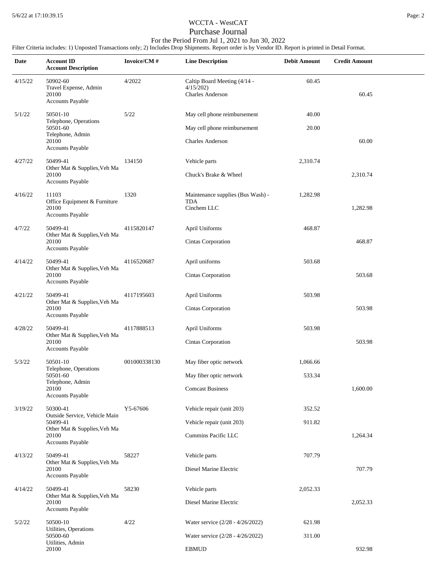## For the Period From Jul 1, 2021 to Jun 30, 2022

| Date    | <b>Account ID</b><br><b>Account Description</b>                           | Invoice/CM#  | <b>Line Description</b>                                             | <b>Debit Amount</b> | <b>Credit Amount</b> |  |
|---------|---------------------------------------------------------------------------|--------------|---------------------------------------------------------------------|---------------------|----------------------|--|
| 4/15/22 | 50902-60<br>Travel Expense, Admin<br>20100<br>Accounts Payable            | 4/2022       | Caltip Board Meeting (4/14 -<br>4/15/202<br><b>Charles Anderson</b> | 60.45               | 60.45                |  |
| 5/1/22  | 50501-10<br>Telephone, Operations                                         | 5/22         | May cell phone reimbursement                                        | 40.00               |                      |  |
|         | 50501-60<br>Telephone, Admin                                              |              | May cell phone reimbursement                                        | 20.00               |                      |  |
|         | 20100<br>Accounts Payable                                                 |              | <b>Charles Anderson</b>                                             |                     | 60.00                |  |
| 4/27/22 | 50499-41<br>Other Mat & Supplies, Veh Ma                                  | 134150       | Vehicle parts                                                       | 2,310.74            |                      |  |
|         | 20100<br>Accounts Payable                                                 |              | Chuck's Brake & Wheel                                               |                     | 2,310.74             |  |
| 4/16/22 | 11103<br>Office Equipment & Furniture                                     | 1320         | Maintenance supplies (Bus Wash) -<br><b>TDA</b>                     | 1,282.98            |                      |  |
|         | 20100<br>Accounts Payable                                                 |              | Cinchem LLC                                                         |                     | 1,282.98             |  |
| 4/7/22  | 50499-41<br>Other Mat & Supplies, Veh Ma                                  | 4115820147   | April Uniforms                                                      | 468.87              |                      |  |
|         | 20100<br>Accounts Payable                                                 |              | Cintas Corporation                                                  |                     | 468.87               |  |
| 4/14/22 | 50499-41<br>Other Mat & Supplies, Veh Ma                                  | 4116520687   | April uniforms                                                      | 503.68              |                      |  |
|         | 20100<br>Accounts Payable                                                 |              | Cintas Corporation                                                  |                     | 503.68               |  |
| 4/21/22 | 50499-41                                                                  | 4117195603   | April Uniforms                                                      | 503.98              |                      |  |
|         | Other Mat & Supplies, Veh Ma<br>20100<br>Accounts Payable                 |              | Cintas Corporation                                                  |                     | 503.98               |  |
| 4/28/22 | 50499-41<br>Other Mat & Supplies, Veh Ma                                  | 4117888513   | April Uniforms                                                      | 503.98              |                      |  |
|         | 20100<br>Accounts Payable                                                 |              | Cintas Corporation                                                  |                     | 503.98               |  |
| 5/3/22  | 50501-10<br>Telephone, Operations                                         | 001000338130 | May fiber optic network                                             | 1,066.66            |                      |  |
|         | 50501-60<br>Telephone, Admin                                              |              | May fiber optic network                                             | 533.34              |                      |  |
|         | 20100<br>Accounts Payable                                                 |              | <b>Comcast Business</b>                                             |                     | 1,600.00             |  |
| 3/19/22 | 50300-41                                                                  | Y5-67606     | Vehicle repair (unit 203)                                           | 352.52              |                      |  |
|         | Outside Service, Vehicle Main<br>50499-41<br>Other Mat & Supplies, Veh Ma |              | Vehicle repair (unit 203)                                           | 911.82              |                      |  |
|         | 20100<br>Accounts Payable                                                 |              | Cummins Pacific LLC                                                 |                     | 1,264.34             |  |
| 4/13/22 | 50499-41<br>Other Mat & Supplies, Veh Ma                                  | 58227        | Vehicle parts                                                       | 707.79              |                      |  |
|         | 20100<br>Accounts Payable                                                 |              | Diesel Marine Electric                                              |                     | 707.79               |  |
| 4/14/22 | 50499-41                                                                  | 58230        | Vehicle parts                                                       | 2,052.33            |                      |  |
|         | Other Mat & Supplies, Veh Ma<br>20100<br>Accounts Payable                 |              | Diesel Marine Electric                                              |                     | 2,052.33             |  |
| 5/2/22  | 50500-10                                                                  | 4/22         | Water service (2/28 - 4/26/2022)                                    | 621.98              |                      |  |
|         | Utilities, Operations<br>50500-60<br>Utilities, Admin                     |              | Water service (2/28 - 4/26/2022)                                    | 311.00              |                      |  |
|         | 20100                                                                     |              | <b>EBMUD</b>                                                        |                     | 932.98               |  |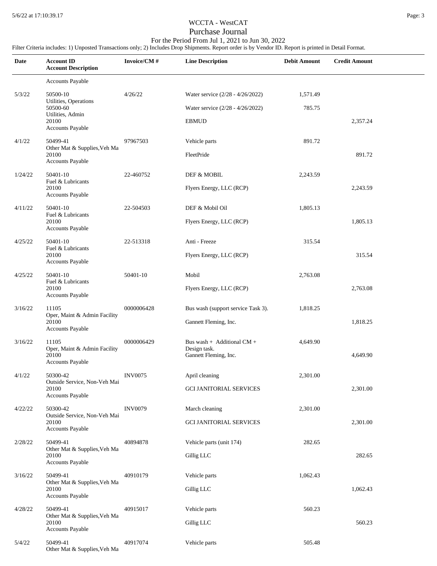## For the Period From Jul 1, 2021 to Jun 30, 2022

| Date    | <b>Account ID</b><br><b>Account Description</b>                    | Invoice/CM#    | <b>Line Description</b>                                             | <b>Debit Amount</b> | <b>Credit Amount</b> |
|---------|--------------------------------------------------------------------|----------------|---------------------------------------------------------------------|---------------------|----------------------|
|         | <b>Accounts Payable</b>                                            |                |                                                                     |                     |                      |
| 5/3/22  | 50500-10                                                           | 4/26/22        | Water service (2/28 - 4/26/2022)                                    | 1,571.49            |                      |
|         | Utilities, Operations<br>50500-60                                  |                | Water service (2/28 - 4/26/2022)                                    | 785.75              |                      |
|         | Utilities, Admin<br>20100<br><b>Accounts Payable</b>               |                | <b>EBMUD</b>                                                        |                     | 2,357.24             |
| 4/1/22  | 50499-41                                                           | 97967503       | Vehicle parts                                                       | 891.72              |                      |
|         | Other Mat & Supplies, Veh Ma<br>20100<br><b>Accounts Payable</b>   |                | FleetPride                                                          |                     | 891.72               |
| 1/24/22 | 50401-10                                                           | 22-460752      | DEF & MOBIL                                                         | 2,243.59            |                      |
|         | Fuel & Lubricants<br>20100<br>Accounts Payable                     |                | Flyers Energy, LLC (RCP)                                            |                     | 2,243.59             |
| 4/11/22 | 50401-10<br>Fuel & Lubricants                                      | 22-504503      | DEF & Mobil Oil                                                     | 1,805.13            |                      |
|         | 20100<br><b>Accounts Payable</b>                                   |                | Flyers Energy, LLC (RCP)                                            |                     | 1,805.13             |
| 4/25/22 | 50401-10                                                           | 22-513318      | Anti - Freeze                                                       | 315.54              |                      |
|         | Fuel & Lubricants<br>20100<br><b>Accounts Payable</b>              |                | Flyers Energy, LLC (RCP)                                            |                     | 315.54               |
| 4/25/22 | 50401-10<br>Fuel & Lubricants                                      | 50401-10       | Mobil                                                               | 2,763.08            |                      |
|         | 20100<br><b>Accounts Payable</b>                                   |                | Flyers Energy, LLC (RCP)                                            |                     | 2,763.08             |
| 3/16/22 | 11105                                                              | 0000006428     | Bus wash (support service Task 3).                                  | 1,818.25            |                      |
|         | Oper, Maint & Admin Facility<br>20100<br><b>Accounts Payable</b>   |                | Gannett Fleming, Inc.                                               |                     | 1,818.25             |
| 3/16/22 | 11105<br>Oper, Maint & Admin Facility<br>20100<br>Accounts Payable | 0000006429     | Bus wash + Additional CM +<br>Design task.<br>Gannett Fleming, Inc. | 4,649.90            | 4,649.90             |
| 4/1/22  | 50300-42                                                           | <b>INV0075</b> | April cleaning                                                      | 2,301.00            |                      |
|         | Outside Service, Non-Veh Mai<br>20100<br><b>Accounts Payable</b>   |                | <b>GCI JANITORIAL SERVICES</b>                                      |                     | 2,301.00             |
| 4/22/22 | 50300-42                                                           | <b>INV0079</b> | March cleaning                                                      | 2,301.00            |                      |
|         | Outside Service, Non-Veh Mai<br>20100<br><b>Accounts Payable</b>   |                | <b>GCI JANITORIAL SERVICES</b>                                      |                     | 2,301.00             |
| 2/28/22 | 50499-41                                                           | 40894878       | Vehicle parts (unit 174)                                            | 282.65              |                      |
|         | Other Mat & Supplies, Veh Ma<br>20100<br>Accounts Payable          |                | Gillig LLC                                                          |                     | 282.65               |
| 3/16/22 | 50499-41<br>Other Mat & Supplies, Veh Ma                           | 40910179       | Vehicle parts                                                       | 1,062.43            |                      |
|         | 20100<br><b>Accounts Payable</b>                                   |                | Gillig LLC                                                          |                     | 1,062.43             |
| 4/28/22 | 50499-41<br>Other Mat & Supplies, Veh Ma                           | 40915017       | Vehicle parts                                                       | 560.23              |                      |
|         | 20100<br><b>Accounts Payable</b>                                   |                | Gillig LLC                                                          |                     | 560.23               |
| 5/4/22  | 50499-41<br>Other Mat & Supplies, Veh Ma                           | 40917074       | Vehicle parts                                                       | 505.48              |                      |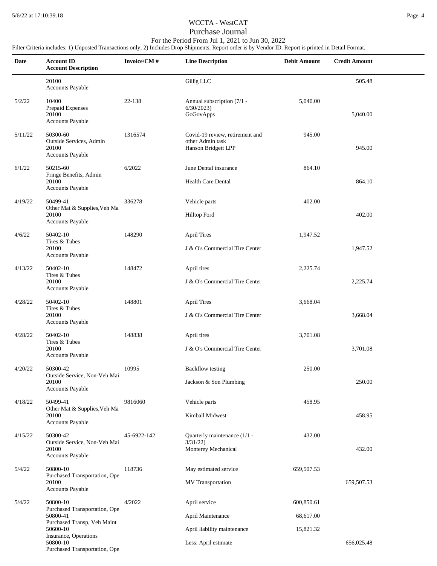## For the Period From Jul 1, 2021 to Jun 30, 2022

| Date    | <b>Account ID</b><br><b>Account Description</b>                                                                           | Invoice/CM# | <b>Line Description</b>                                                    | <b>Debit Amount</b>                  | <b>Credit Amount</b> |  |
|---------|---------------------------------------------------------------------------------------------------------------------------|-------------|----------------------------------------------------------------------------|--------------------------------------|----------------------|--|
|         | 20100<br>Accounts Payable                                                                                                 |             | Gillig LLC                                                                 |                                      | 505.48               |  |
| 5/2/22  | 10400<br>Prepaid Expenses<br>20100<br>Accounts Payable                                                                    | 22-138      | Annual subscription (7/1 -<br>6/30/2023<br>GoGovApps                       | 5,040.00                             | 5,040.00             |  |
| 5/11/22 | 50300-60<br>Outside Services, Admin<br>20100<br>Accounts Payable                                                          | 1316574     | Covid-19 review, retirement and<br>other Admin task<br>Hanson Bridgett LPP | 945.00                               | 945.00               |  |
| 6/1/22  | 50215-60<br>Fringe Benefits, Admin<br>20100<br>Accounts Payable                                                           | 6/2022      | June Dental insurance<br>Health Care Dental                                | 864.10                               | 864.10               |  |
| 4/19/22 | 50499-41<br>Other Mat & Supplies, Veh Ma<br>20100<br>Accounts Payable                                                     | 336278      | Vehicle parts<br><b>Hilltop Ford</b>                                       | 402.00                               | 402.00               |  |
| 4/6/22  | 50402-10<br>Tires & Tubes<br>20100<br>Accounts Payable                                                                    | 148290      | <b>April Tires</b><br>J & O's Commercial Tire Center                       | 1,947.52                             | 1,947.52             |  |
| 4/13/22 | 50402-10<br>Tires & Tubes<br>20100<br>Accounts Payable                                                                    | 148472      | April tires<br>J & O's Commercial Tire Center                              | 2,225.74                             | 2,225.74             |  |
| 4/28/22 | 50402-10<br>Tires & Tubes<br>20100<br><b>Accounts Payable</b>                                                             | 148801      | <b>April Tires</b><br>J & O's Commercial Tire Center                       | 3,668.04                             | 3,668.04             |  |
| 4/28/22 | 50402-10<br>Tires & Tubes<br>20100<br>Accounts Payable                                                                    | 148838      | April tires<br>J & O's Commercial Tire Center                              | 3,701.08                             | 3,701.08             |  |
| 4/20/22 | 50300-42<br>Outside Service, Non-Veh Mai<br>20100<br>Accounts Payable                                                     | 10995       | <b>Backflow</b> testing<br>Jackson & Son Plumbing                          | 250.00                               | 250.00               |  |
| 4/18/22 | 50499-41<br>Other Mat & Supplies, Veh Ma<br>20100<br>Accounts Payable                                                     | 9816060     | Vehicle parts<br>Kimball Midwest                                           | 458.95                               | 458.95               |  |
| 4/15/22 | 50300-42<br>Outside Service, Non-Veh Mai<br>20100<br>Accounts Payable                                                     | 45-6922-142 | Quarterly maintenance (1/1 -<br>3/31/22<br>Monterey Mechanical             | 432.00                               | 432.00               |  |
| 5/4/22  | 50800-10<br>Purchased Transportation, Ope<br>20100<br>Accounts Payable                                                    | 118736      | May estimated service<br>MV Transportation                                 | 659,507.53                           | 659,507.53           |  |
| 5/4/22  | 50800-10<br>Purchased Transportation, Ope<br>50800-41<br>Purchased Transp, Veh Maint<br>50600-10<br>Insurance, Operations | 4/2022      | April service<br>April Maintenance<br>April liability maintenance          | 600,850.61<br>68,617.00<br>15,821.32 |                      |  |
|         | 50800-10<br>Purchased Transportation, Ope                                                                                 |             | Less: April estimate                                                       |                                      | 656,025.48           |  |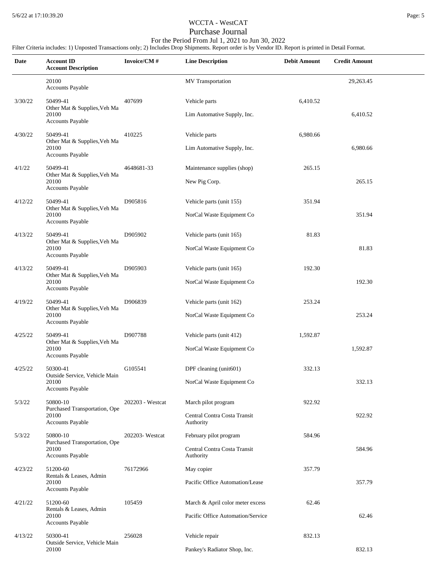#### For the Period From Jul 1, 2021 to Jun 30, 2022

| Date    | <b>Account ID</b><br><b>Account Description</b> | Invoice/CM#      | <b>Line Description</b>                   | <b>Debit Amount</b> | <b>Credit Amount</b> |  |
|---------|-------------------------------------------------|------------------|-------------------------------------------|---------------------|----------------------|--|
|         | 20100<br>Accounts Payable                       |                  | <b>MV</b> Transportation                  |                     | 29,263.45            |  |
| 3/30/22 | 50499-41<br>Other Mat & Supplies, Veh Ma        | 407699           | Vehicle parts                             | 6,410.52            |                      |  |
|         | 20100<br><b>Accounts Payable</b>                |                  | Lim Automative Supply, Inc.               |                     | 6,410.52             |  |
| 4/30/22 | 50499-41<br>Other Mat & Supplies, Veh Ma        | 410225           | Vehicle parts                             | 6,980.66            |                      |  |
|         | 20100<br>Accounts Payable                       |                  | Lim Automative Supply, Inc.               |                     | 6,980.66             |  |
| 4/1/22  | 50499-41<br>Other Mat & Supplies, Veh Ma        | 4648681-33       | Maintenance supplies (shop)               | 265.15              |                      |  |
|         | 20100<br><b>Accounts Payable</b>                |                  | New Pig Corp.                             |                     | 265.15               |  |
| 4/12/22 | 50499-41<br>Other Mat & Supplies, Veh Ma        | D905816          | Vehicle parts (unit 155)                  | 351.94              |                      |  |
|         | 20100<br>Accounts Payable                       |                  | NorCal Waste Equipment Co                 |                     | 351.94               |  |
| 4/13/22 | 50499-41<br>Other Mat & Supplies, Veh Ma        | D905902          | Vehicle parts (unit 165)                  | 81.83               |                      |  |
|         | 20100<br>Accounts Payable                       |                  | NorCal Waste Equipment Co                 |                     | 81.83                |  |
| 4/13/22 | 50499-41<br>Other Mat & Supplies, Veh Ma        | D905903          | Vehicle parts (unit 165)                  | 192.30              |                      |  |
|         | 20100<br>Accounts Payable                       |                  | NorCal Waste Equipment Co                 |                     | 192.30               |  |
| 4/19/22 | 50499-41<br>Other Mat & Supplies, Veh Ma        | D906839          | Vehicle parts (unit 162)                  | 253.24              |                      |  |
|         | 20100<br>Accounts Payable                       |                  | NorCal Waste Equipment Co                 |                     | 253.24               |  |
| 4/25/22 | 50499-41<br>Other Mat & Supplies, Veh Ma        | D907788          | Vehicle parts (unit 412)                  | 1,592.87            |                      |  |
|         | 20100<br><b>Accounts Payable</b>                |                  | NorCal Waste Equipment Co                 |                     | 1,592.87             |  |
| 4/25/22 | 50300-41<br>Outside Service, Vehicle Main       | G105541          | DPF cleaning (unit601)                    | 332.13              |                      |  |
|         | 20100<br><b>Accounts Payable</b>                |                  | NorCal Waste Equipment Co                 |                     | 332.13               |  |
| 5/3/22  | 50800-10<br>Purchased Transportation, Ope       | 202203 - Westcat | March pilot program                       | 922.92              |                      |  |
|         | 20100<br><b>Accounts Payable</b>                |                  | Central Contra Costa Transit<br>Authority |                     | 922.92               |  |
| 5/3/22  | 50800-10<br>Purchased Transportation, Ope       | 202203- Westcat  | February pilot program                    | 584.96              |                      |  |
|         | 20100<br><b>Accounts Payable</b>                |                  | Central Contra Costa Transit<br>Authority |                     | 584.96               |  |
| 4/23/22 | 51200-60<br>Rentals & Leases, Admin             | 76172966         | May copier                                | 357.79              |                      |  |
|         | 20100<br>Accounts Payable                       |                  | Pacific Office Automation/Lease           |                     | 357.79               |  |
| 4/21/22 | 51200-60<br>Rentals & Leases, Admin             | 105459           | March & April color meter excess          | 62.46               |                      |  |
|         | 20100<br><b>Accounts Payable</b>                |                  | Pacific Office Automation/Service         |                     | 62.46                |  |
| 4/13/22 | 50300-41<br>Outside Service, Vehicle Main       | 256028           | Vehicle repair                            | 832.13              |                      |  |
|         | 20100                                           |                  | Pankey's Radiator Shop, Inc.              |                     | 832.13               |  |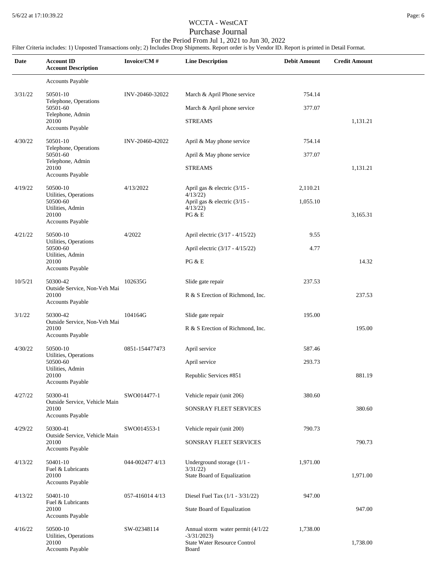## For the Period From Jul 1, 2021 to Jun 30, 2022

| <b>Date</b> | <b>Account ID</b><br><b>Account Description</b>            | Invoice/CM#     | <b>Line Description</b>                            | <b>Debit Amount</b> | <b>Credit Amount</b> |  |
|-------------|------------------------------------------------------------|-----------------|----------------------------------------------------|---------------------|----------------------|--|
|             | <b>Accounts Payable</b>                                    |                 |                                                    |                     |                      |  |
| 3/31/22     | 50501-10                                                   | INV-20460-32022 | March & April Phone service                        | 754.14              |                      |  |
|             | Telephone, Operations<br>50501-60                          |                 | March & April phone service                        | 377.07              |                      |  |
|             | Telephone, Admin<br>20100<br><b>Accounts Payable</b>       |                 | <b>STREAMS</b>                                     |                     | 1,131.21             |  |
| 4/30/22     | 50501-10                                                   | INV-20460-42022 | April & May phone service                          | 754.14              |                      |  |
|             | Telephone, Operations<br>50501-60                          |                 | April & May phone service                          | 377.07              |                      |  |
|             | Telephone, Admin<br>20100<br><b>Accounts Payable</b>       |                 | <b>STREAMS</b>                                     |                     | 1,131.21             |  |
| 4/19/22     | 50500-10<br>Utilities, Operations                          | 4/13/2022       | April gas & electric (3/15 -                       | 2,110.21            |                      |  |
|             | 50500-60                                                   |                 | 4/13/22<br>April gas & electric (3/15 -<br>4/13/22 | 1,055.10            |                      |  |
|             | Utilities, Admin<br>20100<br>Accounts Payable              |                 | PG & E                                             |                     | 3,165.31             |  |
| 4/21/22     | 50500-10                                                   | 4/2022          | April electric (3/17 - 4/15/22)                    | 9.55                |                      |  |
|             | Utilities, Operations<br>50500-60                          |                 | April electric (3/17 - 4/15/22)                    | 4.77                |                      |  |
|             | Utilities, Admin<br>20100<br>Accounts Payable              |                 | PG & E                                             |                     | 14.32                |  |
| 10/5/21     | 50300-42                                                   | 102635G         | Slide gate repair                                  | 237.53              |                      |  |
|             | Outside Service, Non-Veh Mai<br>20100<br>Accounts Payable  |                 | R & S Erection of Richmond, Inc.                   |                     | 237.53               |  |
| 3/1/22      | 50300-42                                                   | 104164G         | Slide gate repair                                  | 195.00              |                      |  |
|             | Outside Service, Non-Veh Mai<br>20100<br>Accounts Payable  |                 | R & S Erection of Richmond, Inc.                   |                     | 195.00               |  |
| 4/30/22     | 50500-10                                                   | 0851-154477473  | April service                                      | 587.46              |                      |  |
|             | Utilities, Operations<br>50500-60                          |                 | April service                                      | 293.73              |                      |  |
|             | Utilities, Admin<br>20100<br>Accounts Payable              |                 | Republic Services #851                             |                     | 881.19               |  |
| 4/27/22     | 50300-41                                                   | SWO014477-1     | Vehicle repair (unit 206)                          | 380.60              |                      |  |
|             | Outside Service, Vehicle Main<br>20100<br>Accounts Payable |                 | SONSRAY FLEET SERVICES                             |                     | 380.60               |  |
| 4/29/22     | 50300-41                                                   | SWO014553-1     | Vehicle repair (unit 200)                          | 790.73              |                      |  |
|             | Outside Service, Vehicle Main<br>20100<br>Accounts Payable |                 | SONSRAY FLEET SERVICES                             |                     | 790.73               |  |
| 4/13/22     | 50401-10                                                   | 044-002477 4/13 | Underground storage (1/1 -                         | 1,971.00            |                      |  |
|             | Fuel & Lubricants<br>20100<br><b>Accounts Payable</b>      |                 | 3/31/22<br>State Board of Equalization             |                     | 1,971.00             |  |
| 4/13/22     | 50401-10<br>Fuel & Lubricants                              | 057-416014 4/13 | Diesel Fuel Tax $(1/1 - 3/31/22)$                  | 947.00              |                      |  |
|             | 20100<br>Accounts Payable                                  |                 | State Board of Equalization                        |                     | 947.00               |  |
| 4/16/22     | 50500-10<br>Utilities, Operations                          | SW-02348114     | Annual storm water permit (4/1/22<br>$-3/31/2023$  | 1,738.00            |                      |  |
|             | 20100<br><b>Accounts Payable</b>                           |                 | <b>State Water Resource Control</b><br>Board       |                     | 1,738.00             |  |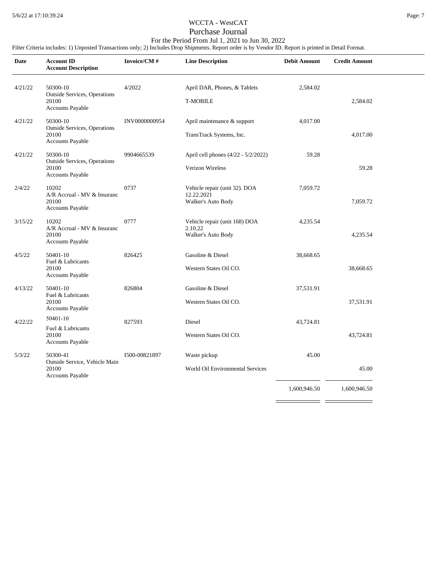## For the Period From Jul 1, 2021 to Jun 30, 2022

Filter Criteria includes: 1) Unposted Transactions only; 2) Includes Drop Shipments. Report order is by Vendor ID. Report is printed in Detail Format.

| Date    | <b>Account ID</b><br><b>Account Description</b>                               | Invoice/CM#   | <b>Line Description</b>                                           | <b>Debit Amount</b> | <b>Credit Amount</b> |  |
|---------|-------------------------------------------------------------------------------|---------------|-------------------------------------------------------------------|---------------------|----------------------|--|
| 4/21/22 | 50300-10<br><b>Outside Services</b> , Operations<br>20100<br>Accounts Payable | 4/2022        | April DAR, Phones, & Tablets<br><b>T-MOBILE</b>                   | 2,584.02            | 2,584.02             |  |
| 4/21/22 | 50300-10<br>Outside Services, Operations<br>20100<br>Accounts Payable         | INV0000000954 | April maintenance & support<br>TransTrack Systems, Inc.           | 4,017.00            | 4,017.00             |  |
| 4/21/22 | 50300-10<br><b>Outside Services</b> , Operations<br>20100<br>Accounts Payable | 9904665539    | April cell phones (4/22 - 5/2/2022)<br>Verizon Wireless           | 59.28               | 59.28                |  |
| 2/4/22  | 10202<br>A/R Accrual - MV & Insuranc<br>20100<br>Accounts Payable             | 0737          | Vehicle repair (unit 32). DOA<br>12.22.2021<br>Walker's Auto Body | 7,059.72            | 7,059.72             |  |
| 3/15/22 | 10202<br>A/R Accrual - MV & Insuranc<br>20100<br>Accounts Payable             | 0777          | Vehicle repair (unit 168) DOA<br>2.10.22<br>Walker's Auto Body    | 4,235.54            | 4,235.54             |  |
| 4/5/22  | 50401-10<br>Fuel & Lubricants<br>20100<br>Accounts Payable                    | 826425        | Gasoline & Diesel<br>Western States Oil CO.                       | 38,668.65           | 38,668.65            |  |
| 4/13/22 | 50401-10<br>Fuel & Lubricants<br>20100<br>Accounts Payable                    | 826804        | Gasoline & Diesel<br>Western States Oil CO.                       | 37,531.91           | 37,531.91            |  |
| 4/22/22 | 50401-10<br>Fuel & Lubricants<br>20100<br>Accounts Payable                    | 827593        | Diesel<br>Western States Oil CO.                                  | 43,724.81           | 43,724.81            |  |
| 5/3/22  | 50300-41<br>Outside Service, Vehicle Main<br>20100<br>Accounts Payable        | I500-00821897 | Waste pickup<br>World Oil Environmental Services                  | 45.00               | 45.00                |  |
|         |                                                                               |               |                                                                   | 1,600,946.50        | 1,600,946.50         |  |

 $\overline{\phantom{0}}$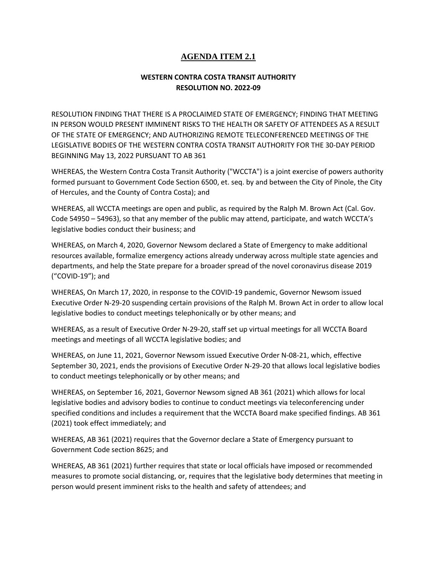## **AGENDA ITEM 2.1**

## **RESOLUTION NO. 2022-09 WESTERN CONTRA COSTA TRANSIT AUTHORITY**

 RESOLUTION FINDING THAT THERE IS A PROCLAIMED STATE OF EMERGENCY; FINDING THAT MEETING IN PERSON WOULD PRESENT IMMINENT RISKS TO THE HEALTH OR SAFETY OF ATTENDEES AS A RESULT OF THE STATE OF EMERGENCY; AND AUTHORIZING REMOTE TELECONFERENCED MEETINGS OF THE LEGISLATIVE BODIES OF THE WESTERN CONTRA COSTA TRANSIT AUTHORITY FOR THE 30-DAY PERIOD BEGINNING May 13, 2022 PURSUANT TO AB 361

 formed pursuant to Government Code Section 6500, et. seq. by and between the City of Pinole, the City WHEREAS, the Western Contra Costa Transit Authority ("WCCTA") is a joint exercise of powers authority of Hercules, and the County of Contra Costa); and

 WHEREAS, all WCCTA meetings are open and public, as required by the Ralph M. Brown Act (Cal. Gov. Code 54950 – 54963), so that any member of the public may attend, participate, and watch WCCTA's legislative bodies conduct their business; and

 WHEREAS, on March 4, 2020, Governor Newsom declared a State of Emergency to make additional departments, and help the State prepare for a broader spread of the novel coronavirus disease 2019 resources available, formalize emergency actions already underway across multiple state agencies and ("COVID-19"); and

 legislative bodies to conduct meetings telephonically or by other means; and WHEREAS, On March 17, 2020, in response to the COVID-19 pandemic, Governor Newsom issued Executive Order N-29-20 suspending certain provisions of the Ralph M. Brown Act in order to allow local

WHEREAS, as a result of Executive Order N-29-20, staff set up virtual meetings for all WCCTA Board meetings and meetings of all WCCTA legislative bodies; and

 WHEREAS, on June 11, 2021, Governor Newsom issued Executive Order N-08-21, which, effective to conduct meetings telephonically or by other means; and September 30, 2021, ends the provisions of Executive Order N-29-20 that allows local legislative bodies

 legislative bodies and advisory bodies to continue to conduct meetings via teleconferencing under (2021) took effect immediately; and WHEREAS, on September 16, 2021, Governor Newsom signed AB 361 (2021) which allows for local specified conditions and includes a requirement that the WCCTA Board make specified findings. AB 361

 Government Code section 8625; and WHEREAS, AB 361 (2021) requires that the Governor declare a State of Emergency pursuant to

 WHEREAS, AB 361 (2021) further requires that state or local officials have imposed or recommended measures to promote social distancing, or, requires that the legislative body determines that meeting in person would present imminent risks to the health and safety of attendees; and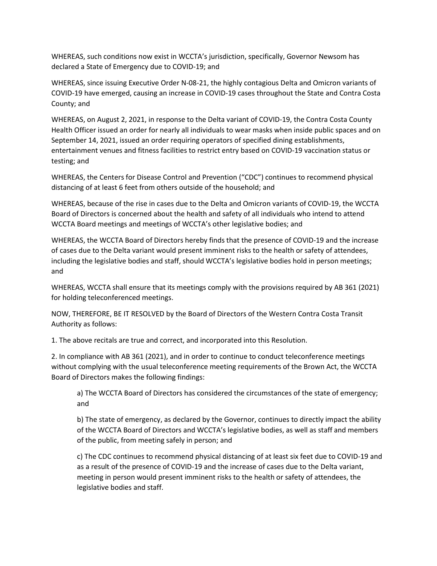WHEREAS, such conditions now exist in WCCTA's jurisdiction, specifically, Governor Newsom has declared a State of Emergency due to COVID-19; and

WHEREAS, since issuing Executive Order N-08-21, the highly contagious Delta and Omicron variants of COVID-19 have emerged, causing an increase in COVID-19 cases throughout the State and Contra Costa County; and

 WHEREAS, on August 2, 2021, in response to the Delta variant of COVID-19, the Contra Costa County entertainment venues and fitness facilities to restrict entry based on COVID-19 vaccination status or Health Officer issued an order for nearly all individuals to wear masks when inside public spaces and on September 14, 2021, issued an order requiring operators of specified dining establishments, testing; and

 distancing of at least 6 feet from others outside of the household; and WHEREAS, the Centers for Disease Control and Prevention ("CDC") continues to recommend physical

 Board of Directors is concerned about the health and safety of all individuals who intend to attend WCCTA Board meetings and meetings of WCCTA's other legislative bodies; and WHEREAS, because of the rise in cases due to the Delta and Omicron variants of COVID-19, the WCCTA

 including the legislative bodies and staff, should WCCTA's legislative bodies hold in person meetings; WHEREAS, the WCCTA Board of Directors hereby finds that the presence of COVID-19 and the increase of cases due to the Delta variant would present imminent risks to the health or safety of attendees, and

 WHEREAS, WCCTA shall ensure that its meetings comply with the provisions required by AB 361 (2021) for holding teleconferenced meetings.

 NOW, THEREFORE, BE IT RESOLVED by the Board of Directors of the Western Contra Costa Transit Authority as follows:

1. The above recitals are true and correct, and incorporated into this Resolution.

 2. In compliance with AB 361 (2021), and in order to continue to conduct teleconference meetings without complying with the usual teleconference meeting requirements of the Brown Act, the WCCTA Board of Directors makes the following findings:

 a) The WCCTA Board of Directors has considered the circumstances of the state of emergency; and

 of the WCCTA Board of Directors and WCCTA's legislative bodies, as well as staff and members b) The state of emergency, as declared by the Governor, continues to directly impact the ability of the public, from meeting safely in person; and

 c) The CDC continues to recommend physical distancing of at least six feet due to COVID-19 and meeting in person would present imminent risks to the health or safety of attendees, the as a result of the presence of COVID-19 and the increase of cases due to the Delta variant, legislative bodies and staff.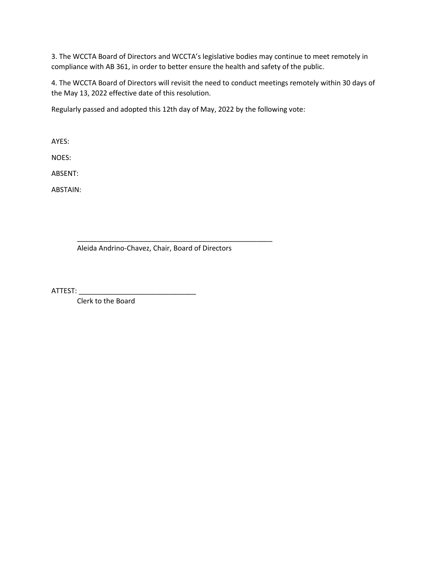3. The WCCTA Board of Directors and WCCTA's legislative bodies may continue to meet remotely in compliance with AB 361, in order to better ensure the health and safety of the public.

 4. The WCCTA Board of Directors will revisit the need to conduct meetings remotely within 30 days of the May 13, 2022 effective date of this resolution.

the May 13, 2022 effective date of this resolution.<br>Regularly passed and adopted this 12th day of May, 2022 by the following vote:

AYES:

NOES:

ABSENT:

ABSTAIN:

Aleida Andrino-Chavez, Chair, Board of Directors

\_\_\_\_\_\_\_\_\_\_\_\_\_\_\_\_\_\_\_\_\_\_\_\_\_\_\_\_\_\_\_\_\_\_\_\_\_\_\_\_\_\_\_\_\_\_\_\_\_\_

ATTEST: \_\_\_\_\_\_\_\_\_\_\_\_\_\_\_\_\_\_\_\_\_\_\_\_\_\_\_\_\_\_

Clerk to the Board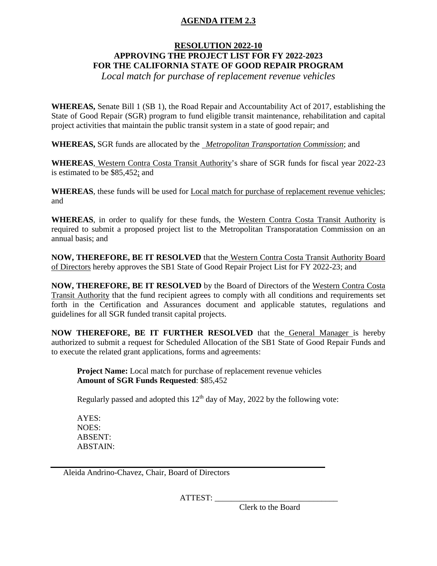## **AGENDA ITEM 2.3**

## **RESOLUTION 2022-10 APPROVING THE PROJECT LIST FOR FY 2022-2023 FOR THE CALIFORNIA STATE OF GOOD REPAIR PROGRAM** *Local match for purchase of replacement revenue vehicles*

 State of Good Repair (SGR) program to fund eligible transit maintenance, rehabilitation and capital **WHEREAS,** Senate Bill 1 (SB 1), the Road Repair and Accountability Act of 2017, establishing the project activities that maintain the public transit system in a state of good repair; and

**WHEREAS,** SGR funds are allocated by the *Metropolitan Transportation Commission*; and

 **WHEREAS**, Western Contra Costa Transit Authority's share of SGR funds for fiscal year 2022-23 is estimated to be \$85,452; and

**WHEREAS**, these funds will be used for Local match for purchase of replacement revenue vehicles; and

WHEREAS, in order to qualify for these funds, the Western Contra Costa Transit Authority is required to submit a proposed project list to the Metropolitan Transporatation Commission on an annual basis; and

 **NOW, THEREFORE, BE IT RESOLVED** that the Western Contra Costa Transit Authority Board of Directors hereby approves the SB1 State of Good Repair Project List for FY 2022-23; and

Transit Authority that the fund recipient agrees to comply with all conditions and requirements set forth in the Certification and Assurances document and applicable statutes, regulations and **NOW, THEREFORE, BE IT RESOLVED** by the Board of Directors of the Western Contra Costa guidelines for all SGR funded transit capital projects.

 **NOW THEREFORE, BE IT FURTHER RESOLVED** that the General Manager is hereby authorized to submit a request for Scheduled Allocation of the SB1 State of Good Repair Funds and to execute the related grant applications, forms and agreements:

**Amount of SGR Funds Requested: \$85,452 Project Name:** Local match for purchase of replacement revenue vehicles

Amount of SGR Funds Requested: \$85,452<br>Regularly passed and adopted this 12<sup>th</sup> day of May, 2022 by the following vote:

AYES: NOES: ABSENT: ABSTAIN:

Aleida Andrino-Chavez, Chair, Board of Directors

ATTEST:

Clerk to the Board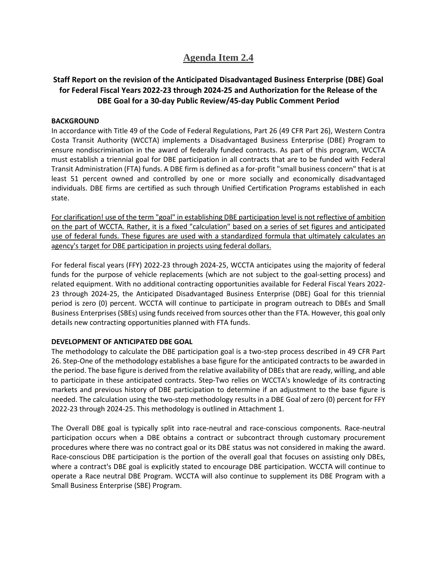## **Agenda Item 2.4**

## **Staff Report on the revision of the Anticipated Disadvantaged Business Enterprise (DBE) Goal for Federal Fiscal Years 2022-23 through 2024-25 and Authorization for the Release of the DBE Goal for a 30-day Public Review/45-day Public Comment Period**

#### **BACKGROUND**

 In accordance with Title 49 of the Code of Federal Regulations, Part 26 (49 CFR Part 26), Western Contra Costa Transit Authority (WCCTA) implements a Disadvantaged Business Enterprise (DBE) Program to ensure nondiscrimination in the award of federally funded contracts. As part of this program, WCCTA Transit Administration (FTA) funds. A DBE firm is defined as a for-profit "small business concern" that is at must establish a triennial goal for DBE participation in all contracts that are to be funded with Federal least 51 percent owned and controlled by one or more socially and economically disadvantaged individuals. DBE firms are certified as such through Unified Certification Programs established in each state.

For clarification! use of the term "goal" in establishing DBE participation level is not reflective of ambition on the part of WCCTA. Rather, it is a fixed "calculation" based on a series of set figures and anticipated use of federal funds. These figures are used with a standardized formula that ultimately calculates an agency's target for DBE participation in projects using federal dollars.

 For federal fiscal years (FFY) 2022-23 through 2024-25, WCCTA anticipates using the majority of federal funds for the purpose of vehicle replacements (which are not subject to the goal-setting process) and 23 through 2024-25, the Anticipated Disadvantaged Business Enterprise (DBE) Goal for this triennial Business Enterprises (SBEs) using funds received from sources other than the FTA. However, this goal only related equipment. With no additional contracting opportunities available for Federal Fiscal Years 2022 period is zero (0) percent. WCCTA will continue to participate in program outreach to DBEs and Small details new contracting opportunities planned with FTA funds.

## **DEVELOPMENT OF ANTICIPATED DBE GOAL**

 The methodology to calculate the DBE participation goal is a two-step process described in 49 CFR Part the period. The base figure is derived from the relative availability of DBEs that are ready, willing, and able to participate in these anticipated contracts. Step-Two relies on WCCTA's knowledge of its contracting 26. Step-One of the methodology establishes a base figure for the anticipated contracts to be awarded in markets and previous history of DBE participation to determine if an adjustment to the base figure is needed. The calculation using the two-step methodology results in a DBE Goal of zero (0) percent for FFY 2022-23 through 2024-25. This methodology is outlined in Attachment 1.

 participation occurs when a DBE obtains a contract or subcontract through customary procurement Race-conscious DBE participation is the portion of the overall goal that focuses on assisting only DBEs, where a contract's DBE goal is explicitly stated to encourage DBE participation. WCCTA will continue to operate a Race neutral DBE Program. WCCTA will also continue to supplement its DBE Program with a The Overall DBE goal is typically split into race-neutral and race-conscious components. Race-neutral procedures where there was no contract goal or its DBE status was not considered in making the award. Small Business Enterprise (SBE) Program.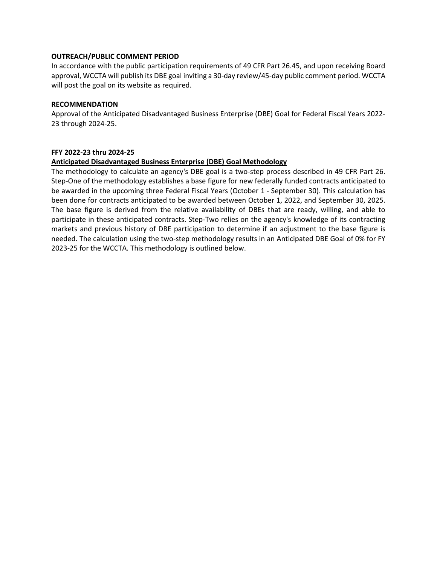#### **OUTREACH/PUBLIC COMMENT PERIOD**

 approval, WCCTA will publish its DBE goal inviting a 30-day review/45-day public comment period. WCCTA will post the goal on its website as required. In accordance with the public participation requirements of 49 CFR Part 26.45, and upon receiving Board

#### **RECOMMENDATION**

 Approval of the Anticipated Disadvantaged Business Enterprise (DBE) Goal for Federal Fiscal Years 2022- 23 through 2024-25.

#### FFY 2022-23 thru 2024-25

#### Anticipated Disadvantaged Business Enterprise (DBE) Goal Methodology

 The methodology to calculate an agency's DBE goal is a two-step process described in 49 CFR Part 26. Step-One of the methodology establishes a base figure for new federally funded contracts anticipated to been done for contracts anticipated to be awarded between October 1, 2022, and September 30, 2025. participate in these anticipated contracts. Step-Two relies on the agency's knowledge of its contracting be awarded in the upcoming three Federal Fiscal Years (October 1 - September 30). This calculation has The base figure is derived from the relative availability of DBEs that are ready, willing, and able to markets and previous history of DBE participation to determine if an adjustment to the base figure is needed. The calculation using the two-step methodology results in an Anticipated DBE Goal of 0% for FY 2023-25 for the WCCTA. This methodology is outlined below.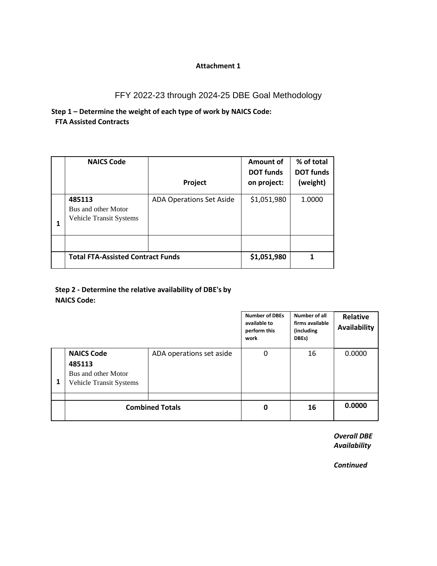#### **Attachment 1**

## FFY 2022-23 through 2024-25 DBE Goal Methodology

**Step 1 – Determine the weight of each type of work by NAICS Code: FTA Assisted Contracts** 

|   | <b>NAICS Code</b>                                        | Project                                  | Amount of<br><b>DOT funds</b><br>on project: | % of total<br><b>DOT funds</b><br>(weight) |  |
|---|----------------------------------------------------------|------------------------------------------|----------------------------------------------|--------------------------------------------|--|
| 1 | 485113<br>Bus and other Motor<br>Vehicle Transit Systems | <b>ADA Operations Set Aside</b>          | \$1,051,980                                  | 1.0000                                     |  |
|   |                                                          |                                          |                                              |                                            |  |
|   |                                                          | <b>Total FTA-Assisted Contract Funds</b> |                                              |                                            |  |

#### **Step 2 - Determine the relative availability of DBE's by NAICS Code:**

|                                                                               |                          | <b>Number of DBEs</b><br>available to<br>perform this<br>work | Number of all<br>firms available<br>(including<br>DBEs) | Relative<br>Availability |
|-------------------------------------------------------------------------------|--------------------------|---------------------------------------------------------------|---------------------------------------------------------|--------------------------|
| <b>NAICS Code</b><br>485113<br>Bus and other Motor<br>Vehicle Transit Systems | ADA operations set aside | 0                                                             | 16                                                      | 0.0000                   |
| <b>Combined Totals</b>                                                        | 0                        | 16                                                            | 0.0000                                                  |                          |

 *Overall DBE Availability*

*Continued*